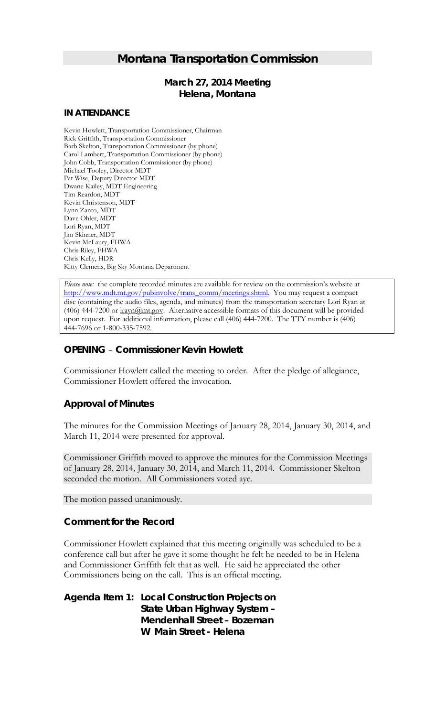# *Montana Transportation Commission*

# *March 27, 2014 Meeting* **Helena, Montana**

#### **IN ATTENDANCE**

Kevin Howlett, Transportation Commissioner, Chairman Rick Griffith, Transportation Commissioner Barb Skelton, Transportation Commissioner (by phone) Carol Lambert, Transportation Commissioner (by phone) John Cobb, Transportation Commissioner (by phone) Michael Tooley, Director MDT Pat Wise, Deputy Director MDT Dwane Kailey, MDT Engineering Tim Reardon, MDT Kevin Christenson, MDT Lynn Zanto, MDT Dave Ohler, MDT Lori Ryan, MDT Jim Skinner, MDT Kevin McLaury, FHWA Chris Riley, FHWA Chris Kelly, HDR Kitty Clemens, Big Sky Montana Department

*Please note:* the complete recorded minutes are available for review on the commission's website at [http://www.mdt.mt.gov/pubinvolve/trans\\_comm/meetings.shtml.](http://www.mdt.mt.gov/pubinvolve/trans_comm/meetings.shtml) You may request a compact disc (containing the audio files, agenda, and minutes) from the transportation secretary Lori Ryan at (406) 444-7200 or lrayn@mt.gov. Alternative accessible formats of this document will be provided upon request. For additional information, please call (406) 444-7200. The TTY number is (406) 444-7696 or 1-800-335-7592.

# *OPENING – Commissioner Kevin Howlett*

Commissioner Howlett called the meeting to order. After the pledge of allegiance, Commissioner Howlett offered the invocation.

#### *Approval of Minutes*

The minutes for the Commission Meetings of January 28, 2014, January 30, 2014, and March 11, 2014 were presented for approval.

Commissioner Griffith moved to approve the minutes for the Commission Meetings of January 28, 2014, January 30, 2014, and March 11, 2014. Commissioner Skelton seconded the motion. All Commissioners voted aye.

The motion passed unanimously.

#### *Comment for the Record*

Commissioner Howlett explained that this meeting originally was scheduled to be a conference call but after he gave it some thought he felt he needed to be in Helena and Commissioner Griffith felt that as well. He said he appreciated the other Commissioners being on the call. This is an official meeting.

*Agenda Item 1: Local Construction Projects on State Urban Highway System – Mendenhall Street – Bozeman W Main Street - Helena*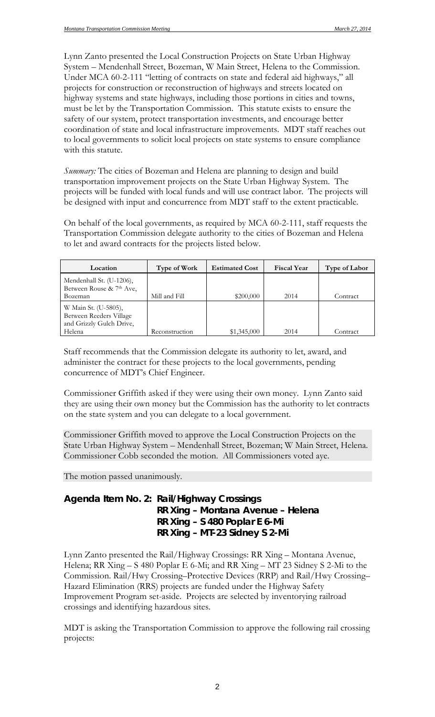Lynn Zanto presented the Local Construction Projects on State Urban Highway System – Mendenhall Street, Bozeman, W Main Street, Helena to the Commission. Under MCA 60-2-111 "letting of contracts on state and federal aid highways," all projects for construction or reconstruction of highways and streets located on highway systems and state highways, including those portions in cities and towns, must be let by the Transportation Commission. This statute exists to ensure the safety of our system, protect transportation investments, and encourage better coordination of state and local infrastructure improvements. MDT staff reaches out to local governments to solicit local projects on state systems to ensure compliance with this statute.

*Summary:* The cities of Bozeman and Helena are planning to design and build transportation improvement projects on the State Urban Highway System. The projects will be funded with local funds and will use contract labor. The projects will be designed with input and concurrence from MDT staff to the extent practicable.

On behalf of the local governments, as required by MCA 60-2-111, staff requests the Transportation Commission delegate authority to the cities of Bozeman and Helena to let and award contracts for the projects listed below.

| Location                                                                    | Type of Work   | <b>Estimated Cost</b> | <b>Fiscal Year</b> | <b>Type of Labor</b> |
|-----------------------------------------------------------------------------|----------------|-----------------------|--------------------|----------------------|
| Mendenhall St. (U-1206),<br>Between Rouse & 7 <sup>th</sup> Ave,            |                |                       |                    |                      |
| Bozeman                                                                     | Mill and Fill  | \$200,000             | 2014               | Contract             |
| W Main St. (U-5805),<br>Between Reeders Village<br>and Grizzly Gulch Drive, |                |                       |                    |                      |
| Helena                                                                      | Reconstruction | \$1,345,000           | 2014               | Contract             |

Staff recommends that the Commission delegate its authority to let, award, and administer the contract for these projects to the local governments, pending concurrence of MDT's Chief Engineer.

Commissioner Griffith asked if they were using their own money. Lynn Zanto said they are using their own money but the Commission has the authority to let contracts on the state system and you can delegate to a local government.

Commissioner Griffith moved to approve the Local Construction Projects on the State Urban Highway System – Mendenhall Street, Bozeman; W Main Street, Helena. Commissioner Cobb seconded the motion. All Commissioners voted aye.

The motion passed unanimously.

# *Agenda Item No. 2: Rail/Highway Crossings RR Xing – Montana Avenue – Helena RR Xing – S 480 Poplar E 6-Mi RR Xing – MT-23 Sidney S 2-Mi*

Lynn Zanto presented the Rail/Highway Crossings: RR Xing – Montana Avenue, Helena; RR Xing – S 480 Poplar E 6-Mi; and RR Xing – MT 23 Sidney S 2-Mi to the Commission. Rail/Hwy Crossing–Protective Devices (RRP) and Rail/Hwy Crossing– Hazard Elimination (RRS) projects are funded under the Highway Safety Improvement Program set-aside. Projects are selected by inventorying railroad crossings and identifying hazardous sites.

MDT is asking the Transportation Commission to approve the following rail crossing projects: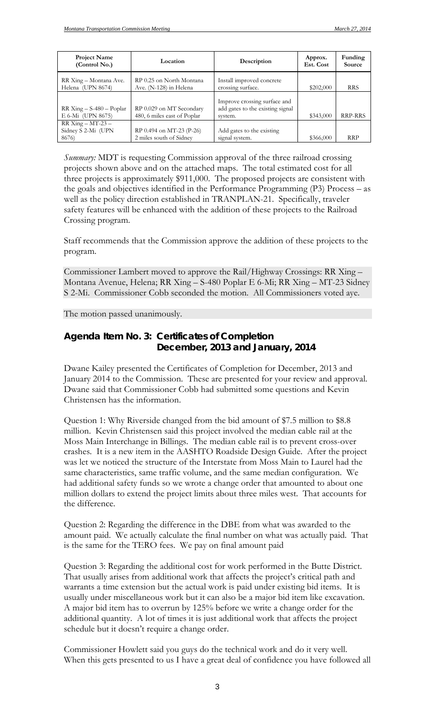| <b>Project Name</b><br>(Control No.)                   | Location                                                | Description                                                                 | Approx.<br>Est. Cost | Funding<br><b>Source</b> |
|--------------------------------------------------------|---------------------------------------------------------|-----------------------------------------------------------------------------|----------------------|--------------------------|
| RR Xing – Montana Ave.<br>Helena (UPN 8674)            | RP 0.25 on North Montana<br>Ave. (N-128) in Helena      | Install improved concrete<br>crossing surface.                              | \$202,000            | <b>RRS</b>               |
| $RR Xing - S-480 - Poplar$<br>E 6-Mi (UPN 8675)        | RP 0.029 on MT Secondary<br>480, 6 miles east of Poplar | Improve crossing surface and<br>add gates to the existing signal<br>system. | \$343,000            | <b>RRP-RRS</b>           |
| $RR$ Xing $-$ MT-23 $-$<br>Sidney S 2-Mi (UPN<br>8676) | RP 0.494 on MT-23 (P-26)<br>2 miles south of Sidney     | Add gates to the existing<br>signal system.                                 | \$366,000            | <b>RRP</b>               |

*Summary:* MDT is requesting Commission approval of the three railroad crossing projects shown above and on the attached maps. The total estimated cost for all three projects is approximately \$911,000. The proposed projects are consistent with the goals and objectives identified in the Performance Programming (P3) Process – as well as the policy direction established in TRANPLAN-21. Specifically, traveler safety features will be enhanced with the addition of these projects to the Railroad Crossing program.

Staff recommends that the Commission approve the addition of these projects to the program.

Commissioner Lambert moved to approve the Rail/Highway Crossings: RR Xing – Montana Avenue, Helena; RR Xing – S-480 Poplar E 6-Mi; RR Xing – MT-23 Sidney S 2-Mi. Commissioner Cobb seconded the motion. All Commissioners voted aye.

The motion passed unanimously.

## *Agenda Item No. 3: Certificates of Completion December, 2013 and January, 2014*

Dwane Kailey presented the Certificates of Completion for December, 2013 and January 2014 to the Commission. These are presented for your review and approval. Dwane said that Commissioner Cobb had submitted some questions and Kevin Christensen has the information.

Question 1: Why Riverside changed from the bid amount of \$7.5 million to \$8.8 million. Kevin Christensen said this project involved the median cable rail at the Moss Main Interchange in Billings. The median cable rail is to prevent cross-over crashes. It is a new item in the AASHTO Roadside Design Guide. After the project was let we noticed the structure of the Interstate from Moss Main to Laurel had the same characteristics, same traffic volume, and the same median configuration. We had additional safety funds so we wrote a change order that amounted to about one million dollars to extend the project limits about three miles west. That accounts for the difference.

Question 2: Regarding the difference in the DBE from what was awarded to the amount paid. We actually calculate the final number on what was actually paid. That is the same for the TERO fees. We pay on final amount paid

Question 3: Regarding the additional cost for work performed in the Butte District. That usually arises from additional work that affects the project's critical path and warrants a time extension but the actual work is paid under existing bid items. It is usually under miscellaneous work but it can also be a major bid item like excavation. A major bid item has to overrun by 125% before we write a change order for the additional quantity. A lot of times it is just additional work that affects the project schedule but it doesn't require a change order.

Commissioner Howlett said you guys do the technical work and do it very well. When this gets presented to us I have a great deal of confidence you have followed all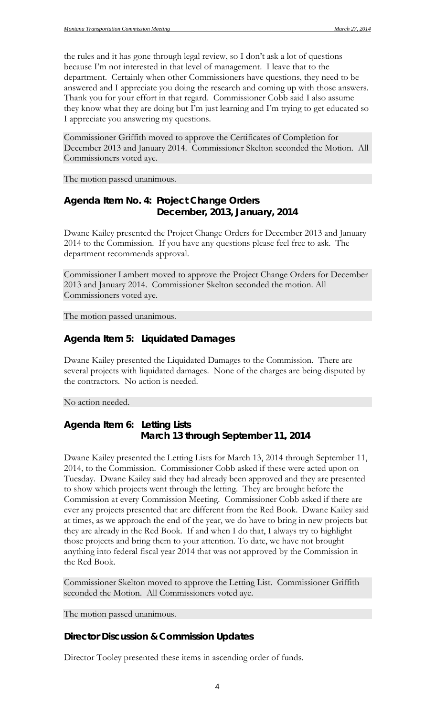the rules and it has gone through legal review, so I don't ask a lot of questions because I'm not interested in that level of management. I leave that to the department. Certainly when other Commissioners have questions, they need to be answered and I appreciate you doing the research and coming up with those answers. Thank you for your effort in that regard. Commissioner Cobb said I also assume they know what they are doing but I'm just learning and I'm trying to get educated so I appreciate you answering my questions.

Commissioner Griffith moved to approve the Certificates of Completion for December 2013 and January 2014. Commissioner Skelton seconded the Motion. All Commissioners voted aye.

The motion passed unanimous.

### *Agenda Item No. 4: Project Change Orders December, 2013, January, 2014*

Dwane Kailey presented the Project Change Orders for December 2013 and January 2014 to the Commission. If you have any questions please feel free to ask. The department recommends approval.

Commissioner Lambert moved to approve the Project Change Orders for December 2013 and January 2014. Commissioner Skelton seconded the motion. All Commissioners voted aye.

The motion passed unanimous.

#### *Agenda Item 5: Liquidated Damages*

Dwane Kailey presented the Liquidated Damages to the Commission. There are several projects with liquidated damages. None of the charges are being disputed by the contractors. No action is needed.

No action needed.

### *Agenda Item 6: Letting Lists March 13 through September 11, 2014*

Dwane Kailey presented the Letting Lists for March 13, 2014 through September 11, 2014, to the Commission. Commissioner Cobb asked if these were acted upon on Tuesday. Dwane Kailey said they had already been approved and they are presented to show which projects went through the letting. They are brought before the Commission at every Commission Meeting. Commissioner Cobb asked if there are ever any projects presented that are different from the Red Book. Dwane Kailey said at times, as we approach the end of the year, we do have to bring in new projects but they are already in the Red Book. If and when I do that, I always try to highlight those projects and bring them to your attention. To date, we have not brought anything into federal fiscal year 2014 that was not approved by the Commission in the Red Book.

Commissioner Skelton moved to approve the Letting List. Commissioner Griffith seconded the Motion. All Commissioners voted aye.

The motion passed unanimous.

#### **Director Discussion & Commission Updates**

Director Tooley presented these items in ascending order of funds.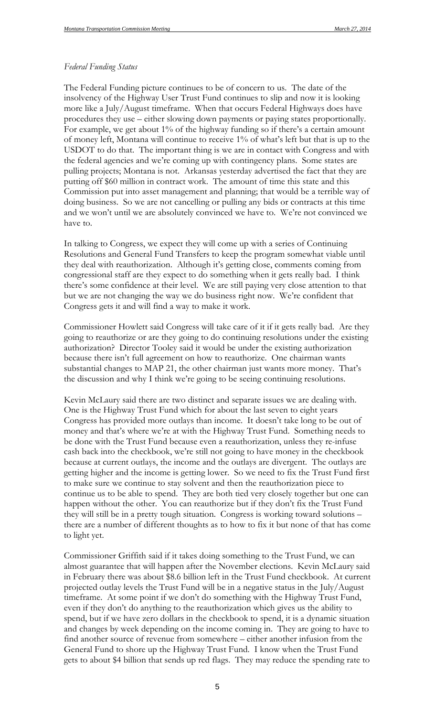#### *Federal Funding Status*

The Federal Funding picture continues to be of concern to us. The date of the insolvency of the Highway User Trust Fund continues to slip and now it is looking more like a July/August timeframe. When that occurs Federal Highways does have procedures they use – either slowing down payments or paying states proportionally. For example, we get about 1% of the highway funding so if there's a certain amount of money left, Montana will continue to receive 1% of what's left but that is up to the USDOT to do that. The important thing is we are in contact with Congress and with the federal agencies and we're coming up with contingency plans. Some states are pulling projects; Montana is not. Arkansas yesterday advertised the fact that they are putting off \$60 million in contract work. The amount of time this state and this Commission put into asset management and planning; that would be a terrible way of doing business. So we are not cancelling or pulling any bids or contracts at this time and we won't until we are absolutely convinced we have to. We're not convinced we have to.

In talking to Congress, we expect they will come up with a series of Continuing Resolutions and General Fund Transfers to keep the program somewhat viable until they deal with reauthorization. Although it's getting close, comments coming from congressional staff are they expect to do something when it gets really bad. I think there's some confidence at their level. We are still paying very close attention to that but we are not changing the way we do business right now. We're confident that Congress gets it and will find a way to make it work.

Commissioner Howlett said Congress will take care of it if it gets really bad. Are they going to reauthorize or are they going to do continuing resolutions under the existing authorization? Director Tooley said it would be under the existing authorization because there isn't full agreement on how to reauthorize. One chairman wants substantial changes to MAP 21, the other chairman just wants more money. That's the discussion and why I think we're going to be seeing continuing resolutions.

Kevin McLaury said there are two distinct and separate issues we are dealing with. One is the Highway Trust Fund which for about the last seven to eight years Congress has provided more outlays than income. It doesn't take long to be out of money and that's where we're at with the Highway Trust Fund. Something needs to be done with the Trust Fund because even a reauthorization, unless they re-infuse cash back into the checkbook, we're still not going to have money in the checkbook because at current outlays, the income and the outlays are divergent. The outlays are getting higher and the income is getting lower. So we need to fix the Trust Fund first to make sure we continue to stay solvent and then the reauthorization piece to continue us to be able to spend. They are both tied very closely together but one can happen without the other. You can reauthorize but if they don't fix the Trust Fund they will still be in a pretty tough situation. Congress is working toward solutions – there are a number of different thoughts as to how to fix it but none of that has come to light yet.

Commissioner Griffith said if it takes doing something to the Trust Fund, we can almost guarantee that will happen after the November elections. Kevin McLaury said in February there was about \$8.6 billion left in the Trust Fund checkbook. At current projected outlay levels the Trust Fund will be in a negative status in the July/August timeframe. At some point if we don't do something with the Highway Trust Fund, even if they don't do anything to the reauthorization which gives us the ability to spend, but if we have zero dollars in the checkbook to spend, it is a dynamic situation and changes by week depending on the income coming in. They are going to have to find another source of revenue from somewhere – either another infusion from the General Fund to shore up the Highway Trust Fund. I know when the Trust Fund gets to about \$4 billion that sends up red flags. They may reduce the spending rate to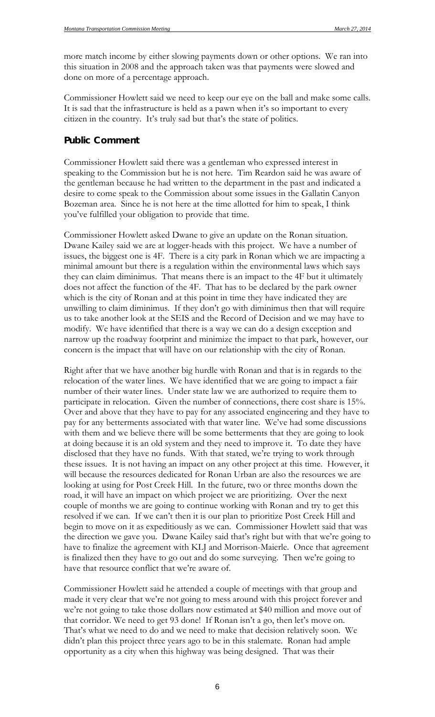more match income by either slowing payments down or other options. We ran into this situation in 2008 and the approach taken was that payments were slowed and done on more of a percentage approach.

Commissioner Howlett said we need to keep our eye on the ball and make some calls. It is sad that the infrastructure is held as a pawn when it's so important to every citizen in the country. It's truly sad but that's the state of politics.

### **Public Comment**

Commissioner Howlett said there was a gentleman who expressed interest in speaking to the Commission but he is not here. Tim Reardon said he was aware of the gentleman because he had written to the department in the past and indicated a desire to come speak to the Commission about some issues in the Gallatin Canyon Bozeman area. Since he is not here at the time allotted for him to speak, I think you've fulfilled your obligation to provide that time.

Commissioner Howlett asked Dwane to give an update on the Ronan situation. Dwane Kailey said we are at logger-heads with this project. We have a number of issues, the biggest one is 4F. There is a city park in Ronan which we are impacting a minimal amount but there is a regulation within the environmental laws which says they can claim diminimus. That means there is an impact to the 4F but it ultimately does not affect the function of the 4F. That has to be declared by the park owner which is the city of Ronan and at this point in time they have indicated they are unwilling to claim diminimus. If they don't go with diminimus then that will require us to take another look at the SEIS and the Record of Decision and we may have to modify. We have identified that there is a way we can do a design exception and narrow up the roadway footprint and minimize the impact to that park, however, our concern is the impact that will have on our relationship with the city of Ronan.

Right after that we have another big hurdle with Ronan and that is in regards to the relocation of the water lines. We have identified that we are going to impact a fair number of their water lines. Under state law we are authorized to require them to participate in relocation. Given the number of connections, there cost share is 15%. Over and above that they have to pay for any associated engineering and they have to pay for any betterments associated with that water line. We've had some discussions with them and we believe there will be some betterments that they are going to look at doing because it is an old system and they need to improve it. To date they have disclosed that they have no funds. With that stated, we're trying to work through these issues. It is not having an impact on any other project at this time. However, it will because the resources dedicated for Ronan Urban are also the resources we are looking at using for Post Creek Hill. In the future, two or three months down the road, it will have an impact on which project we are prioritizing. Over the next couple of months we are going to continue working with Ronan and try to get this resolved if we can. If we can't then it is our plan to prioritize Post Creek Hill and begin to move on it as expeditiously as we can. Commissioner Howlett said that was the direction we gave you. Dwane Kailey said that's right but with that we're going to have to finalize the agreement with KLJ and Morrison-Maierle. Once that agreement is finalized then they have to go out and do some surveying. Then we're going to have that resource conflict that we're aware of.

Commissioner Howlett said he attended a couple of meetings with that group and made it very clear that we're not going to mess around with this project forever and we're not going to take those dollars now estimated at \$40 million and move out of that corridor. We need to get 93 done! If Ronan isn't a go, then let's move on. That's what we need to do and we need to make that decision relatively soon. We didn't plan this project three years ago to be in this stalemate. Ronan had ample opportunity as a city when this highway was being designed. That was their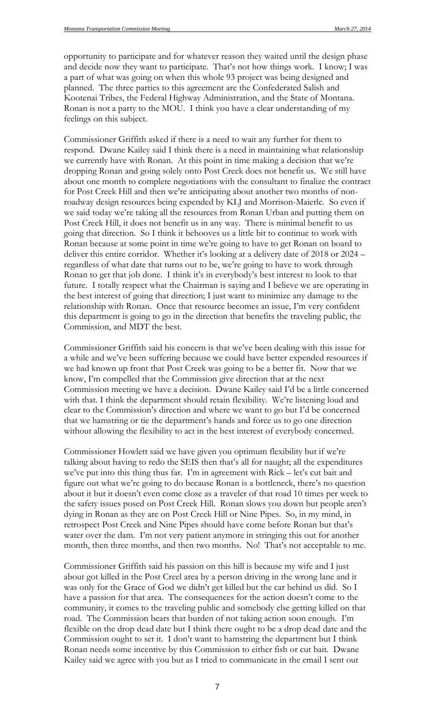opportunity to participate and for whatever reason they waited until the design phase and decide now they want to participate. That's not how things work. I know; I was a part of what was going on when this whole 93 project was being designed and planned. The three parties to this agreement are the Confederated Salish and Kootenai Tribes, the Federal Highway Administration, and the State of Montana. Ronan is not a party to the MOU. I think you have a clear understanding of my feelings on this subject.

Commissioner Griffith asked if there is a need to wait any further for them to respond. Dwane Kailey said I think there is a need in maintaining what relationship we currently have with Ronan. At this point in time making a decision that we're dropping Ronan and going solely onto Post Creek does not benefit us. We still have about one month to complete negotiations with the consultant to finalize the contract for Post Creek Hill and then we're anticipating about another two months of nonroadway design resources being expended by KLJ and Morrison-Maierle. So even if we said today we're taking all the resources from Ronan Urban and putting them on Post Creek Hill, it does not benefit us in any way. There is minimal benefit to us going that direction. So I think it behooves us a little bit to continue to work with Ronan because at some point in time we're going to have to get Ronan on board to deliver this entire corridor. Whether it's looking at a delivery date of 2018 or 2024 – regardless of what date that turns out to be, we're going to have to work through Ronan to get that job done. I think it's in everybody's best interest to look to that future. I totally respect what the Chairman is saying and I believe we are operating in the best interest of going that direction; I just want to minimize any damage to the relationship with Ronan. Once that resource becomes an issue, I'm very confident this department is going to go in the direction that benefits the traveling public, the Commission, and MDT the best.

Commissioner Griffith said his concern is that we've been dealing with this issue for a while and we've been suffering because we could have better expended resources if we had known up front that Post Creek was going to be a better fit. Now that we know, I'm compelled that the Commission give direction that at the next Commission meeting we have a decision. Dwane Kailey said I'd be a little concerned with that. I think the department should retain flexibility. We're listening loud and clear to the Commission's direction and where we want to go but I'd be concerned that we hamstring or tie the department's hands and force us to go one direction without allowing the flexibility to act in the best interest of everybody concerned.

Commissioner Howlett said we have given you optimum flexibility but if we're talking about having to redo the SEIS then that's all for naught; all the expenditures we've put into this thing thus far. I'm in agreement with Rick – let's cut bait and figure out what we're going to do because Ronan is a bottleneck, there's no question about it but it doesn't even come close as a traveler of that road 10 times per week to the safety issues posed on Post Creek Hill. Ronan slows you down but people aren't dying in Ronan as they are on Post Creek Hill or Nine Pipes. So, in my mind, in retrospect Post Creek and Nine Pipes should have come before Ronan but that's water over the dam. I'm not very patient anymore in stringing this out for another month, then three months, and then two months. No! That's not acceptable to me.

Commissioner Griffith said his passion on this hill is because my wife and I just about got killed in the Post Creel area by a person driving in the wrong lane and it was only for the Grace of God we didn't get killed but the car behind us did. So I have a passion for that area. The consequences for the action doesn't come to the community, it comes to the traveling public and somebody else getting killed on that road. The Commission bears that burden of not taking action soon enough. I'm flexible on the drop dead date but I think there ought to be a drop dead date and the Commission ought to set it. I don't want to hamstring the department but I think Ronan needs some incentive by this Commission to either fish or cut bait. Dwane Kailey said we agree with you but as I tried to communicate in the email I sent out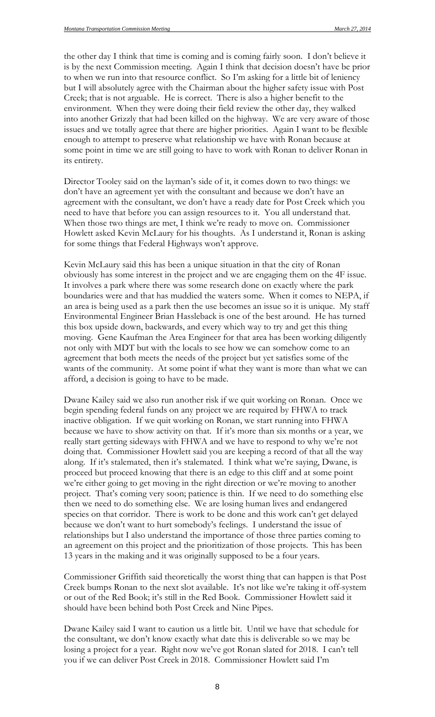the other day I think that time is coming and is coming fairly soon. I don't believe it is by the next Commission meeting. Again I think that decision doesn't have be prior to when we run into that resource conflict. So I'm asking for a little bit of leniency but I will absolutely agree with the Chairman about the higher safety issue with Post Creek; that is not arguable. He is correct. There is also a higher benefit to the environment. When they were doing their field review the other day, they walked into another Grizzly that had been killed on the highway. We are very aware of those issues and we totally agree that there are higher priorities. Again I want to be flexible enough to attempt to preserve what relationship we have with Ronan because at some point in time we are still going to have to work with Ronan to deliver Ronan in its entirety.

Director Tooley said on the layman's side of it, it comes down to two things: we don't have an agreement yet with the consultant and because we don't have an agreement with the consultant, we don't have a ready date for Post Creek which you need to have that before you can assign resources to it. You all understand that. When those two things are met, I think we're ready to move on. Commissioner Howlett asked Kevin McLaury for his thoughts. As I understand it, Ronan is asking for some things that Federal Highways won't approve.

Kevin McLaury said this has been a unique situation in that the city of Ronan obviously has some interest in the project and we are engaging them on the 4F issue. It involves a park where there was some research done on exactly where the park boundaries were and that has muddied the waters some. When it comes to NEPA, if an area is being used as a park then the use becomes an issue so it is unique. My staff Environmental Engineer Brian Hassleback is one of the best around. He has turned this box upside down, backwards, and every which way to try and get this thing moving. Gene Kaufman the Area Engineer for that area has been working diligently not only with MDT but with the locals to see how we can somehow come to an agreement that both meets the needs of the project but yet satisfies some of the wants of the community. At some point if what they want is more than what we can afford, a decision is going to have to be made.

Dwane Kailey said we also run another risk if we quit working on Ronan. Once we begin spending federal funds on any project we are required by FHWA to track inactive obligation. If we quit working on Ronan, we start running into FHWA because we have to show activity on that. If it's more than six months or a year, we really start getting sideways with FHWA and we have to respond to why we're not doing that. Commissioner Howlett said you are keeping a record of that all the way along. If it's stalemated, then it's stalemated. I think what we're saying, Dwane, is proceed but proceed knowing that there is an edge to this cliff and at some point we're either going to get moving in the right direction or we're moving to another project. That's coming very soon; patience is thin. If we need to do something else then we need to do something else. We are losing human lives and endangered species on that corridor. There is work to be done and this work can't get delayed because we don't want to hurt somebody's feelings. I understand the issue of relationships but I also understand the importance of those three parties coming to an agreement on this project and the prioritization of those projects. This has been 13 years in the making and it was originally supposed to be a four years.

Commissioner Griffith said theoretically the worst thing that can happen is that Post Creek bumps Ronan to the next slot available. It's not like we're taking it off-system or out of the Red Book; it's still in the Red Book. Commissioner Howlett said it should have been behind both Post Creek and Nine Pipes.

Dwane Kailey said I want to caution us a little bit. Until we have that schedule for the consultant, we don't know exactly what date this is deliverable so we may be losing a project for a year. Right now we've got Ronan slated for 2018. I can't tell you if we can deliver Post Creek in 2018. Commissioner Howlett said I'm